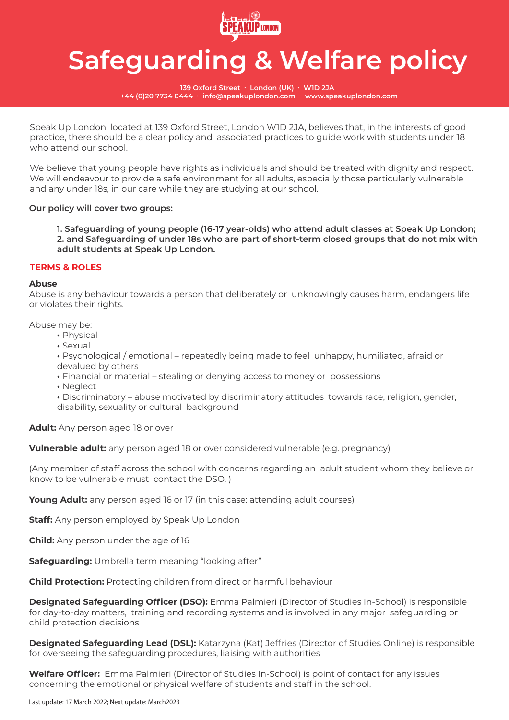

**139 Oxford Street ∙ London (UK) ∙ W1D 2JA +44 (0)20 7734 0444 ∙ info@speakuplondon.com ∙ www.speakuplondon.com**

Speak Up London, located at 139 Oxford Street, London W1D 2JA, believes that, in the interests of good practice, there should be a clear policy and associated practices to guide work with students under 18 who attend our school.

We believe that young people have rights as individuals and should be treated with dignity and respect. We will endeavour to provide a safe environment for all adults, especially those particularly vulnerable and any under 18s, in our care while they are studying at our school.

## **Our policy will cover two groups:**

 **1. Safeguarding of young people (16-17 year-olds) who attend adult classes at Speak Up London; 2. and Safeguarding of under 18s who are part of short-term closed groups that do not mix with adult students at Speak Up London.** 

### **TERMS & ROLES**

### **Abuse**

Abuse is any behaviour towards a person that deliberately or unknowingly causes harm, endangers life or violates their rights.

Abuse may be:

- Physical
- Sexual

 **•** Psychological / emotional – repeatedly being made to feel unhappy, humiliated, afraid or devalued by others

 **•** Financial or material – stealing or denying access to money or possessions

 **•** Neglect

 **•** Discriminatory – abuse motivated by discriminatory attitudes towards race, religion, gender, disability, sexuality or cultural background

**Adult:** Any person aged 18 or over

**Vulnerable adult:** any person aged 18 or over considered vulnerable (e.g. pregnancy)

(Any member of staff across the school with concerns regarding an adult student whom they believe or know to be vulnerable must contact the DSO. )

Young Adult: any person aged 16 or 17 (in this case: attending adult courses)

**Staff:** Any person employed by Speak Up London

**Child:** Any person under the age of 16

**Safeguarding:** Umbrella term meaning "looking after"

**Child Protection:** Protecting children from direct or harmful behaviour

**Designated Safeguarding Officer (DSO):** Emma Palmieri (Director of Studies In-School) is responsible for day-to-day matters, training and recording systems and is involved in any major safeguarding or child protection decisions

**Designated Safeguarding Lead (DSL):** Katarzyna (Kat) Jeffries (Director of Studies Online) is responsible for overseeing the safeguarding procedures, liaising with authorities

**Welfare Officer:** Emma Palmieri (Director of Studies In-School) is point of contact for any issues concerning the emotional or physical welfare of students and staff in the school.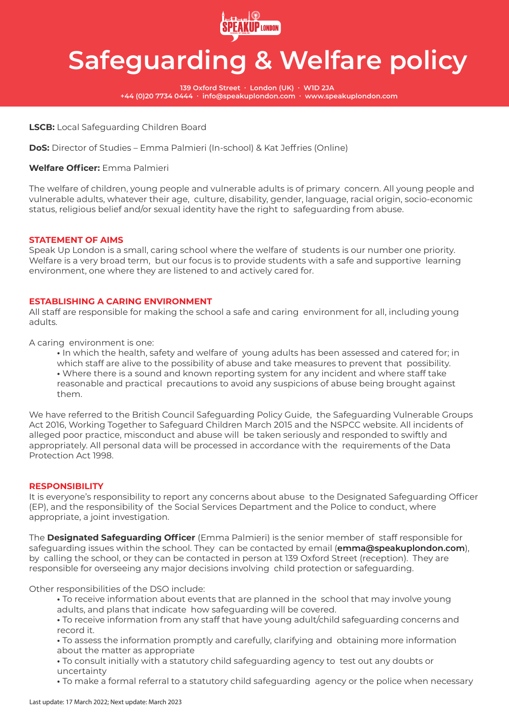

**139 Oxford Street ∙ London (UK) ∙ W1D 2JA +44 (0)20 7734 0444 ∙ info@speakuplondon.com ∙ www.speakuplondon.com**

## **LSCB:** Local Safeguarding Children Board

**DoS:** Director of Studies – Emma Palmieri (In-school) & Kat Jeffries (Online)

## **Welfare Officer:** Emma Palmieri

The welfare of children, young people and vulnerable adults is of primary concern. All young people and vulnerable adults, whatever their age, culture, disability, gender, language, racial origin, socio-economic status, religious belief and/or sexual identity have the right to safeguarding from abuse.

### **STATEMENT OF AIMS**

Speak Up London is a small, caring school where the welfare of students is our number one priority. Welfare is a very broad term, but our focus is to provide students with a safe and supportive learning environment, one where they are listened to and actively cared for.

### **ESTABLISHING A CARING ENVIRONMENT**

All staff are responsible for making the school a safe and caring environment for all, including young adults.

A caring environment is one:

 **•** In which the health, safety and welfare of young adults has been assessed and catered for; in which staff are alive to the possibility of abuse and take measures to prevent that possibility.  **•** Where there is a sound and known reporting system for any incident and where staff take reasonable and practical precautions to avoid any suspicions of abuse being brought against them.

We have referred to the British Council Safeguarding Policy Guide, the Safeguarding Vulnerable Groups Act 2016, Working Together to Safeguard Children March 2015 and the NSPCC website. All incidents of alleged poor practice, misconduct and abuse will be taken seriously and responded to swiftly and appropriately. All personal data will be processed in accordance with the requirements of the Data Protection Act 1998.

### **RESPONSIBILITY**

It is everyone's responsibility to report any concerns about abuse to the Designated Safeguarding Officer (EP), and the responsibility of the Social Services Department and the Police to conduct, where appropriate, a joint investigation.

The **Designated Safeguarding Officer** (Emma Palmieri) is the senior member of staff responsible for safeguarding issues within the school. They can be contacted by email (**emma@speakuplondon.com**), by calling the school, or they can be contacted in person at 139 Oxford Street (reception). They are responsible for overseeing any major decisions involving child protection or safeguarding.

Other responsibilities of the DSO include:

- To receive information about events that are planned in the school that may involve young adults, and plans that indicate how safeguarding will be covered.
- To receive information from any staff that have young adult/child safeguarding concerns and record it.
- To assess the information promptly and carefully, clarifying and obtaining more information about the matter as appropriate
- To consult initially with a statutory child safeguarding agency to test out any doubts or uncertainty
- To make a formal referral to a statutory child safeguarding agency or the police when necessary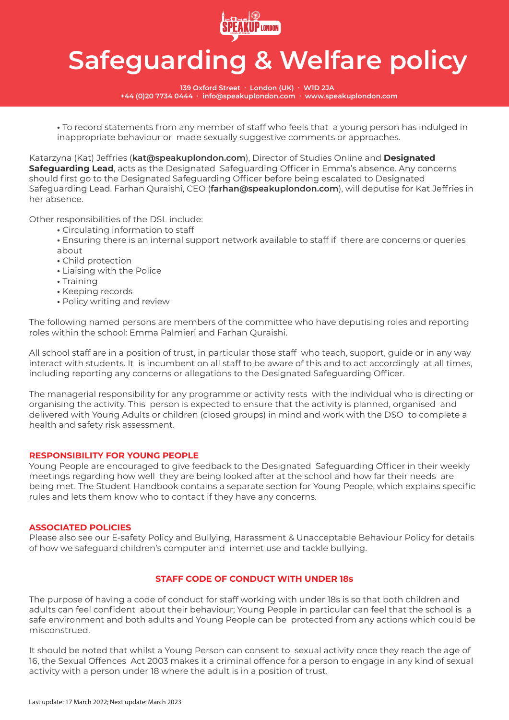

**139 Oxford Street ∙ London (UK) ∙ W1D 2JA +44 (0)20 7734 0444 ∙ info@speakuplondon.com ∙ www.speakuplondon.com**

 **•** To record statements from any member of staff who feels that a young person has indulged in inappropriate behaviour or made sexually suggestive comments or approaches.

Katarzyna (Kat) Jeffries (**kat@speakuplondon.com**), Director of Studies Online and **Designated Safeguarding Lead**, acts as the Designated Safeguarding Officer in Emma's absence. Any concerns should first go to the Designated Safeguarding Officer before being escalated to Designated Safeguarding Lead. Farhan Quraishi, CEO (**farhan@speakuplondon.com**), will deputise for Kat Jeffries in her absence.

Other responsibilities of the DSL include:

- Circulating information to staff
- Ensuring there is an internal support network available to staff if there are concerns or queries about
- Child protection
- Liaising with the Police
- Training
- Keeping records
- Policy writing and review

The following named persons are members of the committee who have deputising roles and reporting roles within the school: Emma Palmieri and Farhan Quraishi.

All school staff are in a position of trust, in particular those staff who teach, support, guide or in any way interact with students. It is incumbent on all staff to be aware of this and to act accordingly at all times, including reporting any concerns or allegations to the Designated Safeguarding Officer.

The managerial responsibility for any programme or activity rests with the individual who is directing or organising the activity. This person is expected to ensure that the activity is planned, organised and delivered with Young Adults or children (closed groups) in mind and work with the DSO to complete a health and safety risk assessment.

## **RESPONSIBILITY FOR YOUNG PEOPLE**

Young People are encouraged to give feedback to the Designated Safeguarding Officer in their weekly meetings regarding how well they are being looked after at the school and how far their needs are being met. The Student Handbook contains a separate section for Young People, which explains specific rules and lets them know who to contact if they have any concerns.

### **ASSOCIATED POLICIES**

Please also see our E-safety Policy and Bullying, Harassment & Unacceptable Behaviour Policy for details of how we safeguard children's computer and internet use and tackle bullying.

## **STAFF CODE OF CONDUCT WITH UNDER 18s**

The purpose of having a code of conduct for staff working with under 18s is so that both children and adults can feel confident about their behaviour; Young People in particular can feel that the school is a safe environment and both adults and Young People can be protected from any actions which could be misconstrued.

It should be noted that whilst a Young Person can consent to sexual activity once they reach the age of 16, the Sexual Offences Act 2003 makes it a criminal offence for a person to engage in any kind of sexual activity with a person under 18 where the adult is in a position of trust.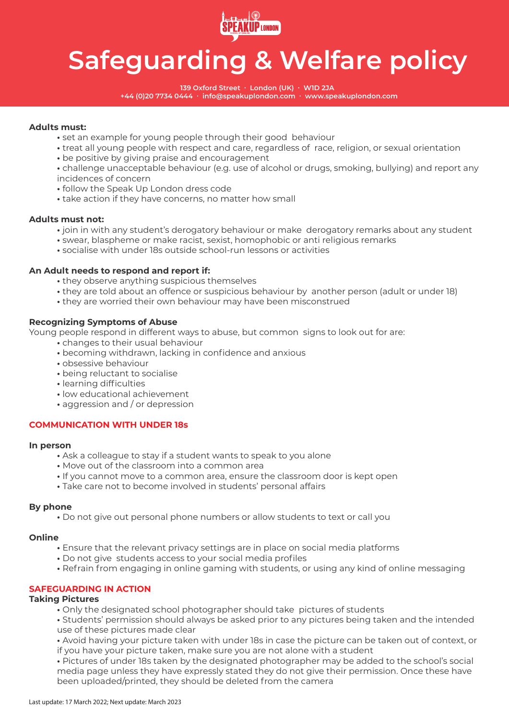

**139 Oxford Street ∙ London (UK) ∙ W1D 2JA +44 (0)20 7734 0444 ∙ info@speakuplondon.com ∙ www.speakuplondon.com**

## **Adults must:**

- set an example for young people through their good behaviour
- treat all young people with respect and care, regardless of race, religion, or sexual orientation
- be positive by giving praise and encouragement
- challenge unacceptable behaviour (e.g. use of alcohol or drugs, smoking, bullying) and report any incidences of concern
- follow the Speak Up London dress code
- take action if they have concerns, no matter how small

### **Adults must not:**

- join in with any student's derogatory behaviour or make derogatory remarks about any student
- swear, blaspheme or make racist, sexist, homophobic or anti religious remarks
- socialise with under 18s outside school-run lessons or activities

### **An Adult needs to respond and report if:**

- they observe anything suspicious themselves
- they are told about an offence or suspicious behaviour by another person (adult or under 18)
- they are worried their own behaviour may have been misconstrued

## **Recognizing Symptoms of Abuse**

Young people respond in different ways to abuse, but common signs to look out for are:

- changes to their usual behaviour
- becoming withdrawn, lacking in confidence and anxious
- obsessive behaviour
- being reluctant to socialise
- learning difficulties
- low educational achievement
- aggression and / or depression

## **COMMUNICATION WITH UNDER 18s**

### **In person**

- Ask a colleague to stay if a student wants to speak to you alone
- Move out of the classroom into a common area
- If you cannot move to a common area, ensure the classroom door is kept open
- Take care not to become involved in students' personal affairs

### **By phone**

 **•** Do not give out personal phone numbers or allow students to text or call you

### **Online**

- Ensure that the relevant privacy settings are in place on social media platforms
- Do not give students access to your social media profiles
- Refrain from engaging in online gaming with students, or using any kind of online messaging

## **SAFEGUARDING IN ACTION**

## **Taking Pictures**

- Only the designated school photographer should take pictures of students
- Students' permission should always be asked prior to any pictures being taken and the intended use of these pictures made clear
- Avoid having your picture taken with under 18s in case the picture can be taken out of context, or if you have your picture taken, make sure you are not alone with a student

 **•** Pictures of under 18s taken by the designated photographer may be added to the school's social media page unless they have expressly stated they do not give their permission. Once these have been uploaded/printed, they should be deleted from the camera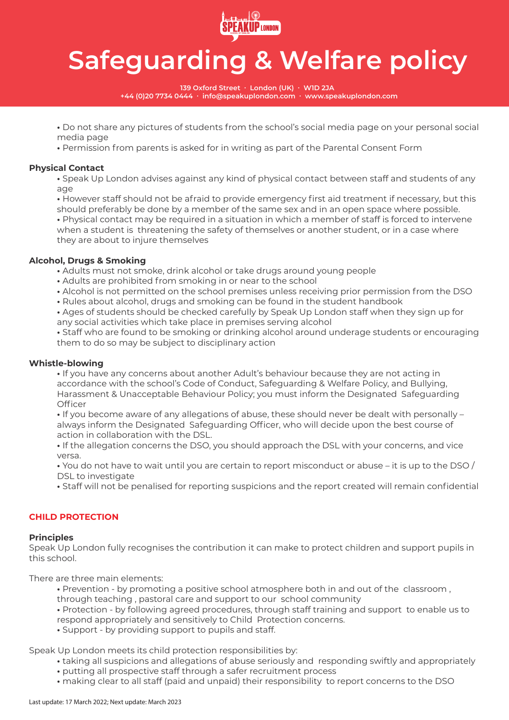

**139 Oxford Street ∙ London (UK) ∙ W1D 2JA +44 (0)20 7734 0444 ∙ info@speakuplondon.com ∙ www.speakuplondon.com**

 **•** Do not share any pictures of students from the school's social media page on your personal social media page

 **•** Permission from parents is asked for in writing as part of the Parental Consent Form

## **Physical Contact**

 **•** Speak Up London advises against any kind of physical contact between staff and students of any age

 **•** However staff should not be afraid to provide emergency first aid treatment if necessary, but this should preferably be done by a member of the same sex and in an open space where possible.  **•** Physical contact may be required in a situation in which a member of staff is forced to intervene when a student is threatening the safety of themselves or another student, or in a case where

they are about to injure themselves

## **Alcohol, Drugs & Smoking**

- Adults must not smoke, drink alcohol or take drugs around young people
- Adults are prohibited from smoking in or near to the school
- Alcohol is not permitted on the school premises unless receiving prior permission from the DSO
- Rules about alcohol, drugs and smoking can be found in the student handbook

 **•** Ages of students should be checked carefully by Speak Up London staff when they sign up for any social activities which take place in premises serving alcohol

 **•** Staff who are found to be smoking or drinking alcohol around underage students or encouraging them to do so may be subject to disciplinary action

## **Whistle-blowing**

 **•** If you have any concerns about another Adult's behaviour because they are not acting in accordance with the school's Code of Conduct, Safeguarding & Welfare Policy, and Bullying, Harassment & Unacceptable Behaviour Policy; you must inform the Designated Safeguarding **Officer** 

 **•** If you become aware of any allegations of abuse, these should never be dealt with personally – always inform the Designated Safeguarding Officer, who will decide upon the best course of action in collaboration with the DSL.

 **•** If the allegation concerns the DSO, you should approach the DSL with your concerns, and vice versa.

 **•** You do not have to wait until you are certain to report misconduct or abuse – it is up to the DSO / DSL to investigate

 **•** Staff will not be penalised for reporting suspicions and the report created will remain confidential

## **CHILD PROTECTION**

### **Principles**

Speak Up London fully recognises the contribution it can make to protect children and support pupils in this school.

There are three main elements:

- Prevention by promoting a positive school atmosphere both in and out of the classroom ,
- through teaching , pastoral care and support to our school community

 **•** Protection - by following agreed procedures, through staff training and support to enable us to respond appropriately and sensitively to Child Protection concerns.

 **•** Support - by providing support to pupils and staff.

Speak Up London meets its child protection responsibilities by:

- taking all suspicions and allegations of abuse seriously and responding swiftly and appropriately
- putting all prospective staff through a safer recruitment process
- making clear to all staff (paid and unpaid) their responsibility to report concerns to the DSO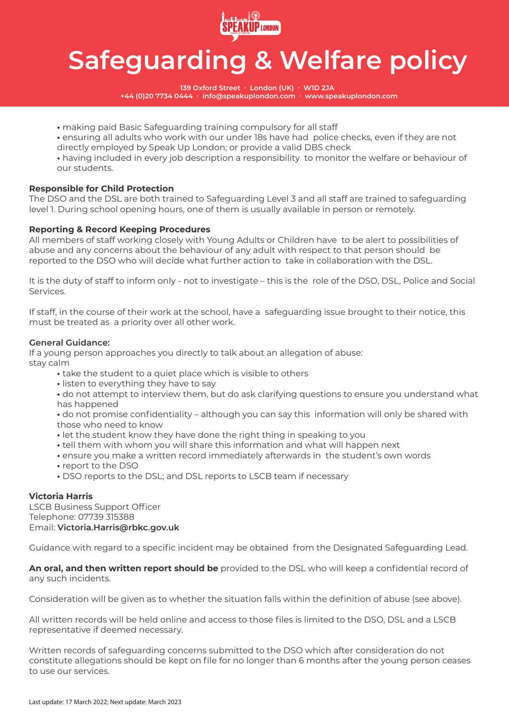

**139 Oxford Street ∙ London (UK) ∙ W1D 2JA +44 (0)20 7734 0444 ∙ info@speakuplondon.com ∙ www.speakuplondon.com**

 **•** making paid Basic Safeguarding training compulsory for all staff

 **•** ensuring all adults who work with our under 18s have had police checks, even if they are not directly employed by Speak Up London; or provide a valid DBS check

 **•** having included in every job description a responsibility to monitor the welfare or behaviour of our students.

## **Responsible for Child Protection**

The DSO and the DSL are both trained to Safeguarding Level 3 and all staff are trained to safeguarding level 1. During school opening hours, one of them is usually available in person or remotely.

## **Reporting & Record Keeping Procedures**

All members of staff working closely with Young Adults or Children have to be alert to possibilities of abuse and any concerns about the behaviour of any adult with respect to that person should be reported to the DSO who will decide what further action to take in collaboration with the DSL.

It is the duty of staff to inform only - not to investigate – this is the role of the DSO, DSL, Police and Social Services.

If staff, in the course of their work at the school, have a safeguarding issue brought to their notice, this must be treated as a priority over all other work.

## **General Guidance:**

If a young person approaches you directly to talk about an allegation of abuse: stay calm

- take the student to a quiet place which is visible to others
- listen to everything they have to say
- do not attempt to interview them, but do ask clarifying questions to ensure you understand what has happened
- do not promise confidentiality although you can say this information will only be shared with those who need to know
- let the student know they have done the right thing in speaking to you
- tell them with whom you will share this information and what will happen next
- ensure you make a written record immediately afterwards in the student's own words
- report to the DSO
- DSO reports to the DSL; and DSL reports to LSCB team if necessary

## **Victoria Harris**

LSCB Business Support Officer Telephone: 07739 315388 Email: **Victoria.Harris@rbkc.gov.uk** 

Guidance with regard to a specific incident may be obtained from the Designated Safeguarding Lead.

**An oral, and then written report should be** provided to the DSL who will keep a confidential record of any such incidents.

Consideration will be given as to whether the situation falls within the definition of abuse (see above).

All written records will be held online and access to those files is limited to the DSO, DSL and a LSCB representative if deemed necessary.

Written records of safeguarding concerns submitted to the DSO which after consideration do not constitute allegations should be kept on file for no longer than 6 months after the young person ceases to use our services.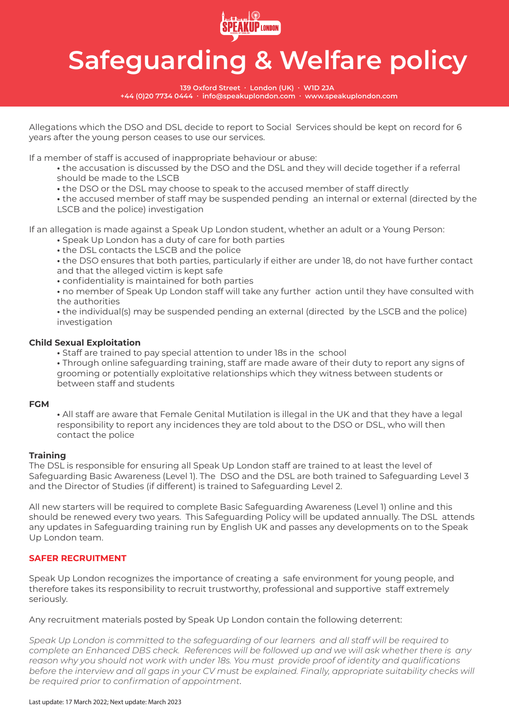

**139 Oxford Street ∙ London (UK) ∙ W1D 2JA +44 (0)20 7734 0444 ∙ info@speakuplondon.com ∙ www.speakuplondon.com**

Allegations which the DSO and DSL decide to report to Social Services should be kept on record for 6 years after the young person ceases to use our services.

If a member of staff is accused of inappropriate behaviour or abuse:

- the accusation is discussed by the DSO and the DSL and they will decide together if a referral should be made to the LSCB
- the DSO or the DSL may choose to speak to the accused member of staff directly

 **•** the accused member of staff may be suspended pending an internal or external (directed by the LSCB and the police) investigation

If an allegation is made against a Speak Up London student, whether an adult or a Young Person:

- Speak Up London has a duty of care for both parties
- the DSL contacts the LSCB and the police

 **•** the DSO ensures that both parties, particularly if either are under 18, do not have further contact and that the alleged victim is kept safe

 **•** confidentiality is maintained for both parties

 **•** no member of Speak Up London staff will take any further action until they have consulted with the authorities

 **•** the individual(s) may be suspended pending an external (directed by the LSCB and the police) investigation

## **Child Sexual Exploitation**

 **•** Staff are trained to pay special attention to under 18s in the school

 **•** Through online safeguarding training, staff are made aware of their duty to report any signs of grooming or potentially exploitative relationships which they witness between students or between staff and students

### **FGM**

 **•** All staff are aware that Female Genital Mutilation is illegal in the UK and that they have a legal responsibility to report any incidences they are told about to the DSO or DSL, who will then contact the police

## **Training**

The DSL is responsible for ensuring all Speak Up London staff are trained to at least the level of Safeguarding Basic Awareness (Level 1). The DSO and the DSL are both trained to Safeguarding Level 3 and the Director of Studies (if different) is trained to Safeguarding Level 2.

All new starters will be required to complete Basic Safeguarding Awareness (Level 1) online and this should be renewed every two years. This Safeguarding Policy will be updated annually. The DSL attends any updates in Safeguarding training run by English UK and passes any developments on to the Speak Up London team.

## **SAFER RECRUITMENT**

Speak Up London recognizes the importance of creating a safe environment for young people, and therefore takes its responsibility to recruit trustworthy, professional and supportive staff extremely seriously.

Any recruitment materials posted by Speak Up London contain the following deterrent:

*Speak Up London is committed to the safeguarding of our learners and all staff will be required to complete an Enhanced DBS check. References will be followed up and we will ask whether there is any reason why you should not work with under 18s. You must provide proof of identity and qualifications*  before the interview and all gaps in your CV must be explained. Finally, appropriate suitability checks will *be required prior to confirmation of appointment*.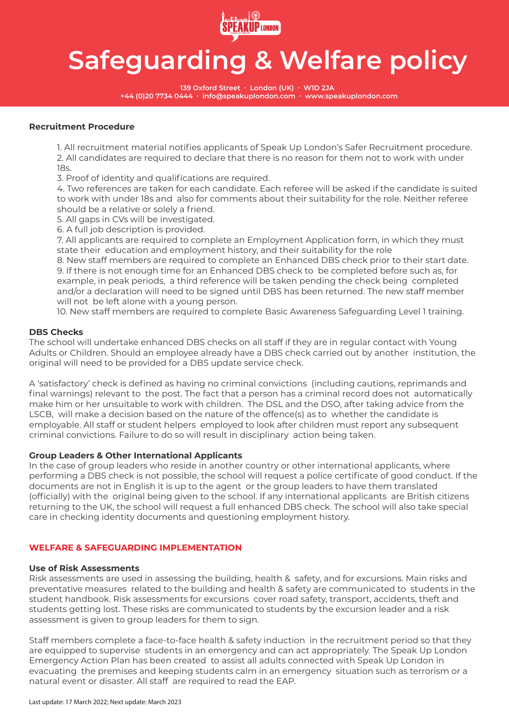

**139 Oxford Street ∙ London (UK) ∙ W1D 2JA +44 (0)20 7734 0444 ∙ info@speakuplondon.com ∙ www.speakuplondon.com**

### **Recruitment Procedure**

 1. All recruitment material notifies applicants of Speak Up London's Safer Recruitment procedure. 2. All candidates are required to declare that there is no reason for them not to work with under 18s.

3. Proof of identity and qualifications are required.

 4. Two references are taken for each candidate. Each referee will be asked if the candidate is suited to work with under 18s and also for comments about their suitability for the role. Neither referee should be a relative or solely a friend.

5. All gaps in CVs will be investigated.

6. A full job description is provided.

 7. All applicants are required to complete an Employment Application form, in which they must state their education and employment history, and their suitability for the role

 8. New staff members are required to complete an Enhanced DBS check prior to their start date. 9. If there is not enough time for an Enhanced DBS check to be completed before such as, for example, in peak periods, a third reference will be taken pending the check being completed and/or a declaration will need to be signed until DBS has been returned. The new staff member will not be left alone with a young person.

10. New staff members are required to complete Basic Awareness Safeguarding Level 1 training.

### **DBS Checks**

The school will undertake enhanced DBS checks on all staff if they are in regular contact with Young Adults or Children. Should an employee already have a DBS check carried out by another institution, the original will need to be provided for a DBS update service check.

A 'satisfactory' check is defined as having no criminal convictions (including cautions, reprimands and final warnings) relevant to the post. The fact that a person has a criminal record does not automatically make him or her unsuitable to work with children. The DSL and the DSO, after taking advice from the LSCB, will make a decision based on the nature of the offence(s) as to whether the candidate is employable. All staff or student helpers employed to look after children must report any subsequent criminal convictions. Failure to do so will result in disciplinary action being taken.

### **Group Leaders & Other International Applicants**

In the case of group leaders who reside in another country or other international applicants, where performing a DBS check is not possible, the school will request a police certificate of good conduct. If the documents are not in English it is up to the agent or the group leaders to have them translated (officially) with the original being given to the school. If any international applicants are British citizens returning to the UK, the school will request a full enhanced DBS check. The school will also take special care in checking identity documents and questioning employment history.

## **WELFARE & SAFEGUARDING IMPLEMENTATION**

### **Use of Risk Assessments**

Risk assessments are used in assessing the building, health & safety, and for excursions. Main risks and preventative measures related to the building and health & safety are communicated to students in the student handbook. Risk assessments for excursions cover road safety, transport, accidents, theft and students getting lost. These risks are communicated to students by the excursion leader and a risk assessment is given to group leaders for them to sign.

Staff members complete a face-to-face health & safety induction in the recruitment period so that they are equipped to supervise students in an emergency and can act appropriately. The Speak Up London Emergency Action Plan has been created to assist all adults connected with Speak Up London in evacuating the premises and keeping students calm in an emergency situation such as terrorism or a natural event or disaster. All staff are required to read the EAP.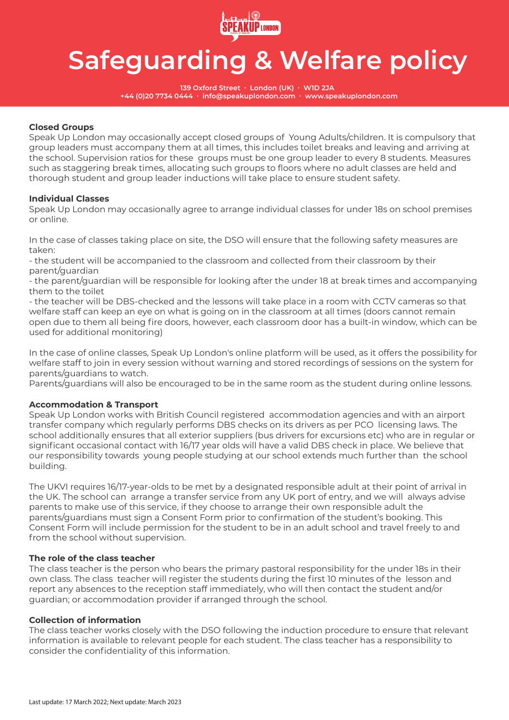

**139 Oxford Street ∙ London (UK) ∙ W1D 2JA +44 (0)20 7734 0444 ∙ info@speakuplondon.com ∙ www.speakuplondon.com**

## **Closed Groups**

Speak Up London may occasionally accept closed groups of Young Adults/children. It is compulsory that group leaders must accompany them at all times, this includes toilet breaks and leaving and arriving at the school. Supervision ratios for these groups must be one group leader to every 8 students. Measures such as staggering break times, allocating such groups to floors where no adult classes are held and thorough student and group leader inductions will take place to ensure student safety.

## **Individual Classes**

Speak Up London may occasionally agree to arrange individual classes for under 18s on school premises or online.

In the case of classes taking place on site, the DSO will ensure that the following safety measures are taken:

- the student will be accompanied to the classroom and collected from their classroom by their parent/guardian

- the parent/guardian will be responsible for looking after the under 18 at break times and accompanying them to the toilet

- the teacher will be DBS-checked and the lessons will take place in a room with CCTV cameras so that welfare staff can keep an eye on what is going on in the classroom at all times (doors cannot remain open due to them all being fire doors, however, each classroom door has a built-in window, which can be used for additional monitoring)

In the case of online classes, Speak Up London's online platform will be used, as it offers the possibility for welfare staff to join in every session without warning and stored recordings of sessions on the system for parents/guardians to watch.

Parents/guardians will also be encouraged to be in the same room as the student during online lessons.

## **Accommodation & Transport**

Speak Up London works with British Council registered accommodation agencies and with an airport transfer company which regularly performs DBS checks on its drivers as per PCO licensing laws. The school additionally ensures that all exterior suppliers (bus drivers for excursions etc) who are in regular or significant occasional contact with 16/17 year olds will have a valid DBS check in place. We believe that our responsibility towards young people studying at our school extends much further than the school building.

The UKVI requires 16/17-year-olds to be met by a designated responsible adult at their point of arrival in the UK. The school can arrange a transfer service from any UK port of entry, and we will always advise parents to make use of this service, if they choose to arrange their own responsible adult the parents/guardians must sign a Consent Form prior to confirmation of the student's booking. This Consent Form will include permission for the student to be in an adult school and travel freely to and from the school without supervision.

## **The role of the class teacher**

The class teacher is the person who bears the primary pastoral responsibility for the under 18s in their own class. The class teacher will register the students during the first 10 minutes of the lesson and report any absences to the reception staff immediately, who will then contact the student and/or guardian; or accommodation provider if arranged through the school.

## **Collection of information**

The class teacher works closely with the DSO following the induction procedure to ensure that relevant information is available to relevant people for each student. The class teacher has a responsibility to consider the confidentiality of this information.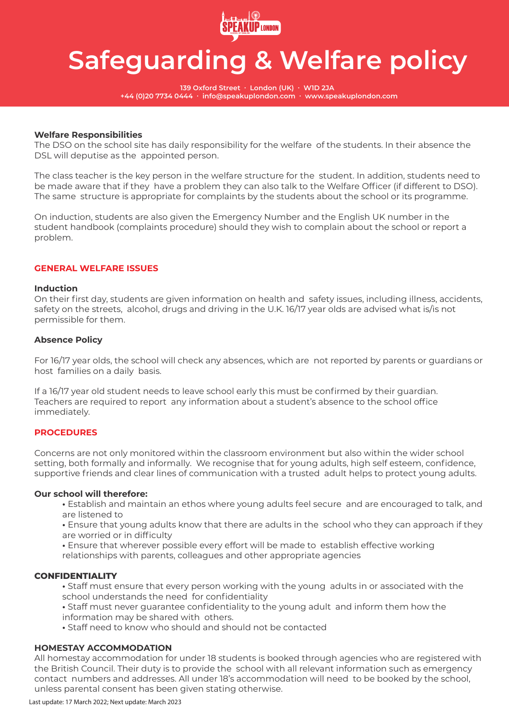

**139 Oxford Street ∙ London (UK) ∙ W1D 2JA +44 (0)20 7734 0444 ∙ info@speakuplondon.com ∙ www.speakuplondon.com**

### **Welfare Responsibilities**

The DSO on the school site has daily responsibility for the welfare of the students. In their absence the DSL will deputise as the appointed person.

The class teacher is the key person in the welfare structure for the student. In addition, students need to be made aware that if they have a problem they can also talk to the Welfare Officer (if different to DSO). The same structure is appropriate for complaints by the students about the school or its programme.

On induction, students are also given the Emergency Number and the English UK number in the student handbook (complaints procedure) should they wish to complain about the school or report a problem.

### **GENERAL WELFARE ISSUES**

### **Induction**

On their first day, students are given information on health and safety issues, including illness, accidents, safety on the streets, alcohol, drugs and driving in the U.K. 16/17 year olds are advised what is/is not permissible for them.

### **Absence Policy**

For 16/17 year olds, the school will check any absences, which are not reported by parents or guardians or host families on a daily basis.

If a 16/17 year old student needs to leave school early this must be confirmed by their guardian. Teachers are required to report any information about a student's absence to the school office immediately.

### **PROCEDURES**

Concerns are not only monitored within the classroom environment but also within the wider school setting, both formally and informally. We recognise that for young adults, high self esteem, confidence, supportive friends and clear lines of communication with a trusted adult helps to protect young adults.

### **Our school will therefore:**

- Establish and maintain an ethos where young adults feel secure and are encouraged to talk, and are listened to
- Ensure that young adults know that there are adults in the school who they can approach if they are worried or in difficulty
- Ensure that wherever possible every effort will be made to establish effective working relationships with parents, colleagues and other appropriate agencies

## **CONFIDENTIALITY**

- Staff must ensure that every person working with the young adults in or associated with the school understands the need for confidentiality
- Staff must never guarantee confidentiality to the young adult and inform them how the
- information may be shared with others.
- Staff need to know who should and should not be contacted

## **HOMESTAY ACCOMMODATION**

All homestay accommodation for under 18 students is booked through agencies who are registered with the British Council. Their duty is to provide the school with all relevant information such as emergency contact numbers and addresses. All under 18's accommodation will need to be booked by the school, unless parental consent has been given stating otherwise.